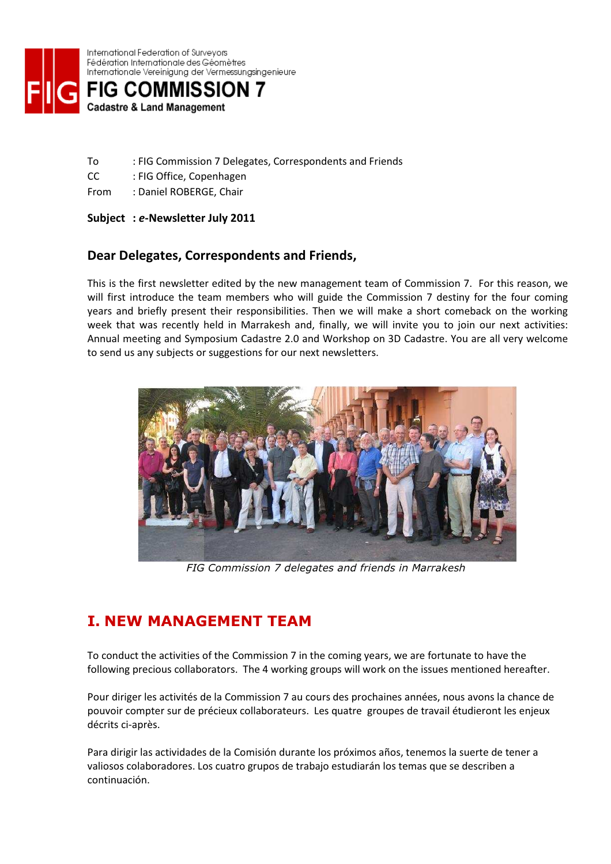

International Federation of Survevors Fédération Internationale des Géomètres Internationale Vereinigung der Vermessungsingenieure



- To : FIG Commission 7 Delegates, Correspondents and Friends
- CC : FIG Office, Copenhagen
- From : Daniel ROBERGE, Chair

#### Subject : e-Newsletter July 2011

#### Dear Delegates, Correspondents and Friends,

This is the first newsletter edited by the new management team of Commission 7. For this reason, we will first introduce the team members who will guide the Commission 7 destiny for the four coming years and briefly present their responsibilities. Then we will make a short comeback on the working week that was recently held in Marrakesh and, finally, we will invite you to join our next activities: Annual meeting and Symposium Cadastre 2.0 and Workshop on 3D Cadastre. You are all very welcome to send us any subjects or suggestions for our next newsletters.



FIG Commission 7 delegates and friends in Marrakesh

### I. NEW MANAGEMENT TEAM

To conduct the activities of the Commission 7 in the coming years, we are fortunate to have the following precious collaborators. The 4 working groups will work on the issues mentioned hereafter.

Pour diriger les activités de la Commission 7 au cours des prochaines années, nous avons la chance de pouvoir compter sur de précieux collaborateurs. Les quatre groupes de travail étudieront les enjeux décrits ci-après.

Para dirigir las actividades de la Comisión durante los próximos años, tenemos la suerte de tener a valiosos colaboradores. Los cuatro grupos de trabajo estudiarán los temas que se describen a continuación.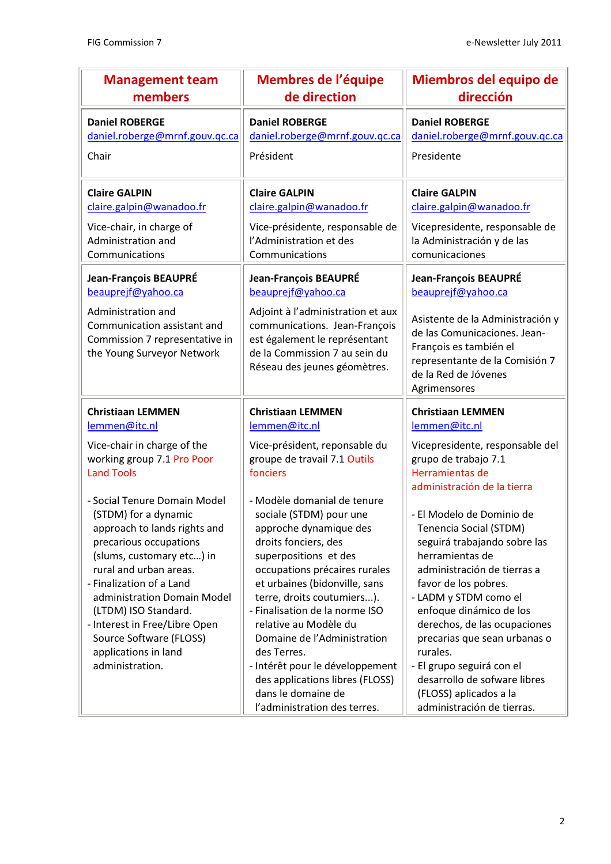| <b>Management team</b>                                                                                                                                           | Membres de l'équipe                                                                                                                                                                                                 | Miembros del equipo de                                                                                                                                                                                              |
|------------------------------------------------------------------------------------------------------------------------------------------------------------------|---------------------------------------------------------------------------------------------------------------------------------------------------------------------------------------------------------------------|---------------------------------------------------------------------------------------------------------------------------------------------------------------------------------------------------------------------|
| members                                                                                                                                                          | de direction                                                                                                                                                                                                        | dirección                                                                                                                                                                                                           |
| <b>Daniel ROBERGE</b>                                                                                                                                            | <b>Daniel ROBERGE</b>                                                                                                                                                                                               | <b>Daniel ROBERGE</b>                                                                                                                                                                                               |
| daniel.roberge@mrnf.gouv.qc.ca                                                                                                                                   | daniel.roberge@mrnf.gouv.qc.ca                                                                                                                                                                                      | daniel.roberge@mrnf.gouv.qc.ca                                                                                                                                                                                      |
| Chair                                                                                                                                                            | Président                                                                                                                                                                                                           | Presidente                                                                                                                                                                                                          |
| <b>Claire GALPIN</b>                                                                                                                                             | <b>Claire GALPIN</b>                                                                                                                                                                                                | <b>Claire GALPIN</b>                                                                                                                                                                                                |
| claire.galpin@wanadoo.fr                                                                                                                                         | claire.galpin@wanadoo.fr                                                                                                                                                                                            | claire.galpin@wanadoo.fr                                                                                                                                                                                            |
| Vice-chair, in charge of                                                                                                                                         | Vice-présidente, responsable de                                                                                                                                                                                     | Vicepresidente, responsable de                                                                                                                                                                                      |
| Administration and                                                                                                                                               | l'Administration et des                                                                                                                                                                                             | la Administración y de las                                                                                                                                                                                          |
| Communications                                                                                                                                                   | Communications                                                                                                                                                                                                      | comunicaciones                                                                                                                                                                                                      |
| Jean-François BEAUPRÉ<br>beauprejf@yahoo.ca<br>Administration and<br>Communication assistant and<br>Commission 7 representative in<br>the Young Surveyor Network | Jean-François BEAUPRÉ<br>beauprejf@yahoo.ca<br>Adjoint à l'administration et aux<br>communications. Jean-François<br>est également le représentant<br>de la Commission 7 au sein du<br>Réseau des jeunes géomètres. | Jean-François BEAUPRÉ<br>beauprejf@yahoo.ca<br>Asistente de la Administración y<br>de las Comunicaciones. Jean-<br>François es también el<br>representante de la Comisión 7<br>de la Red de Jóvenes<br>Agrimensores |
| lemmen@itc.nl                                                                                                                                                    | lemmen@itc.nl                                                                                                                                                                                                       | lemmen@itc.nl                                                                                                                                                                                                       |
| Vice-chair in charge of the                                                                                                                                      | Vice-président, reponsable du                                                                                                                                                                                       | Vicepresidente, responsable del                                                                                                                                                                                     |
| working group 7.1 Pro Poor                                                                                                                                       | groupe de travail 7.1 Outils                                                                                                                                                                                        | grupo de trabajo 7.1                                                                                                                                                                                                |
| <b>Land Tools</b>                                                                                                                                                | fonciers                                                                                                                                                                                                            | Herramientas de                                                                                                                                                                                                     |
| - Social Tenure Domain Model                                                                                                                                     | - Modèle domanial de tenure                                                                                                                                                                                         | administración de la tierra                                                                                                                                                                                         |
| (STDM) for a dynamic                                                                                                                                             | sociale (STDM) pour une                                                                                                                                                                                             | - El Modelo de Dominio de                                                                                                                                                                                           |
| approach to lands rights and                                                                                                                                     | approche dynamique des                                                                                                                                                                                              | Tenencia Social (STDM)                                                                                                                                                                                              |
| precarious occupations                                                                                                                                           | droits fonciers, des                                                                                                                                                                                                | seguirá trabajando sobre las                                                                                                                                                                                        |
| (slums, customary etc) in                                                                                                                                        | superpositions et des                                                                                                                                                                                               | herramientas de                                                                                                                                                                                                     |
| rural and urban areas.                                                                                                                                           | occupations précaires rurales                                                                                                                                                                                       | administración de tierras a                                                                                                                                                                                         |
| - Finalization of a Land                                                                                                                                         | et urbaines (bidonville, sans                                                                                                                                                                                       | favor de los pobres.                                                                                                                                                                                                |
| administration Domain Model                                                                                                                                      | terre, droits coutumiers).                                                                                                                                                                                          | - LADM y STDM como el                                                                                                                                                                                               |
| (LTDM) ISO Standard.                                                                                                                                             | - Finalisation de la norme ISO                                                                                                                                                                                      | enfoque dinámico de los                                                                                                                                                                                             |
| - Interest in Free/Libre Open                                                                                                                                    | relative au Modèle du                                                                                                                                                                                               | derechos, de las ocupaciones                                                                                                                                                                                        |
| Source Software (FLOSS)<br>applications in land<br>administration.                                                                                               | Domaine de l'Administration<br>des Terres.<br>- Intérêt pour le développement<br>des applications libres (FLOSS)<br>dans le domaine de<br>l'administration des terres.                                              | precarias que sean urbanas o<br>rurales.<br>- El grupo seguirá con el<br>desarrollo de sofware libres<br>(FLOSS) aplicados a la<br>administración de tierras.                                                       |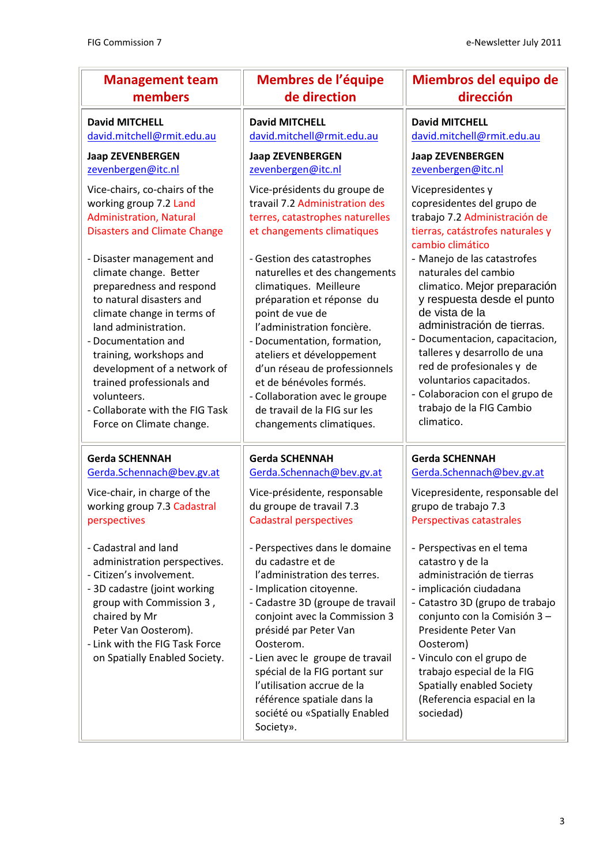| <b>Management team</b>                                                                                                                                                                                                                                                                                                                                                                                                                                                                            | <b>Membres de l'équipe</b>                                                                                                                                                                                                                                                                                                                                                                                                                                                                                                                                   | Miembros del equipo de                                                                                                                                                                                                                                                                                                                                                                                                                                                                                               |
|---------------------------------------------------------------------------------------------------------------------------------------------------------------------------------------------------------------------------------------------------------------------------------------------------------------------------------------------------------------------------------------------------------------------------------------------------------------------------------------------------|--------------------------------------------------------------------------------------------------------------------------------------------------------------------------------------------------------------------------------------------------------------------------------------------------------------------------------------------------------------------------------------------------------------------------------------------------------------------------------------------------------------------------------------------------------------|----------------------------------------------------------------------------------------------------------------------------------------------------------------------------------------------------------------------------------------------------------------------------------------------------------------------------------------------------------------------------------------------------------------------------------------------------------------------------------------------------------------------|
| members                                                                                                                                                                                                                                                                                                                                                                                                                                                                                           | de direction                                                                                                                                                                                                                                                                                                                                                                                                                                                                                                                                                 | dirección                                                                                                                                                                                                                                                                                                                                                                                                                                                                                                            |
| <b>David MITCHELL</b>                                                                                                                                                                                                                                                                                                                                                                                                                                                                             | <b>David MITCHELL</b>                                                                                                                                                                                                                                                                                                                                                                                                                                                                                                                                        | <b>David MITCHELL</b>                                                                                                                                                                                                                                                                                                                                                                                                                                                                                                |
| david.mitchell@rmit.edu.au                                                                                                                                                                                                                                                                                                                                                                                                                                                                        | david.mitchell@rmit.edu.au                                                                                                                                                                                                                                                                                                                                                                                                                                                                                                                                   | david.mitchell@rmit.edu.au                                                                                                                                                                                                                                                                                                                                                                                                                                                                                           |
| <b>Jaap ZEVENBERGEN</b>                                                                                                                                                                                                                                                                                                                                                                                                                                                                           | <b>Jaap ZEVENBERGEN</b>                                                                                                                                                                                                                                                                                                                                                                                                                                                                                                                                      | <b>Jaap ZEVENBERGEN</b>                                                                                                                                                                                                                                                                                                                                                                                                                                                                                              |
| zevenbergen@itc.nl                                                                                                                                                                                                                                                                                                                                                                                                                                                                                | zevenbergen@itc.nl                                                                                                                                                                                                                                                                                                                                                                                                                                                                                                                                           | zevenbergen@itc.nl                                                                                                                                                                                                                                                                                                                                                                                                                                                                                                   |
| Vice-chairs, co-chairs of the<br>working group 7.2 Land<br><b>Administration, Natural</b><br><b>Disasters and Climate Change</b><br>- Disaster management and<br>climate change. Better<br>preparedness and respond<br>to natural disasters and<br>climate change in terms of<br>land administration.<br>- Documentation and<br>training, workshops and<br>development of a network of<br>trained professionals and<br>volunteers.<br>- Collaborate with the FIG Task<br>Force on Climate change. | Vice-présidents du groupe de<br>travail 7.2 Administration des<br>terres, catastrophes naturelles<br>et changements climatiques<br>- Gestion des catastrophes<br>naturelles et des changements<br>climatiques. Meilleure<br>préparation et réponse du<br>point de vue de<br>l'administration foncière.<br>- Documentation, formation,<br>ateliers et développement<br>d'un réseau de professionnels<br>et de bénévoles formés.<br>- Collaboration avec le groupe<br>de travail de la FIG sur les<br>changements climatiques.                                 | Vicepresidentes y<br>copresidentes del grupo de<br>trabajo 7.2 Administración de<br>tierras, catástrofes naturales y<br>cambio climático<br>- Manejo de las catastrofes<br>naturales del cambio<br>climatico. Mejor preparación<br>y respuesta desde el punto<br>de vista de la<br>administración de tierras.<br>- Documentacion, capacitacion,<br>talleres y desarrollo de una<br>red de profesionales y de<br>voluntarios capacitados.<br>- Colaboracion con el grupo de<br>trabajo de la FIG Cambio<br>climatico. |
| <b>Gerda SCHENNAH</b><br>Gerda.Schennach@bev.gv.at<br>Vice-chair, in charge of the<br>working group 7.3 Cadastral<br>perspectives<br>- Cadastral and land<br>administration perspectives.<br>- Citizen's involvement.<br>- 3D cadastre (joint working<br>group with Commission 3,<br>chaired by Mr<br>Peter Van Oosterom).<br>- Link with the FIG Task Force<br>on Spatially Enabled Society.                                                                                                     | <b>Gerda SCHENNAH</b><br>Gerda.Schennach@bev.gv.at<br>Vice-présidente, responsable<br>du groupe de travail 7.3<br><b>Cadastral perspectives</b><br>- Perspectives dans le domaine<br>du cadastre et de<br>l'administration des terres.<br>- Implication citoyenne.<br>- Cadastre 3D (groupe de travail<br>conjoint avec la Commission 3<br>présidé par Peter Van<br>Oosterom.<br>- Lien avec le groupe de travail<br>spécial de la FIG portant sur<br>l'utilisation accrue de la<br>référence spatiale dans la<br>société ou «Spatially Enabled<br>Society». | <b>Gerda SCHENNAH</b><br>Gerda.Schennach@bev.gv.at<br>Vicepresidente, responsable del<br>grupo de trabajo 7.3<br>Perspectivas catastrales<br>- Perspectivas en el tema<br>catastro y de la<br>administración de tierras<br>- implicación ciudadana<br>- Catastro 3D (grupo de trabajo<br>conjunto con la Comisión 3-<br>Presidente Peter Van<br>Oosterom)<br>- Vinculo con el grupo de<br>trabajo especial de la FIG<br>Spatially enabled Society<br>(Referencia espacial en la<br>sociedad)                         |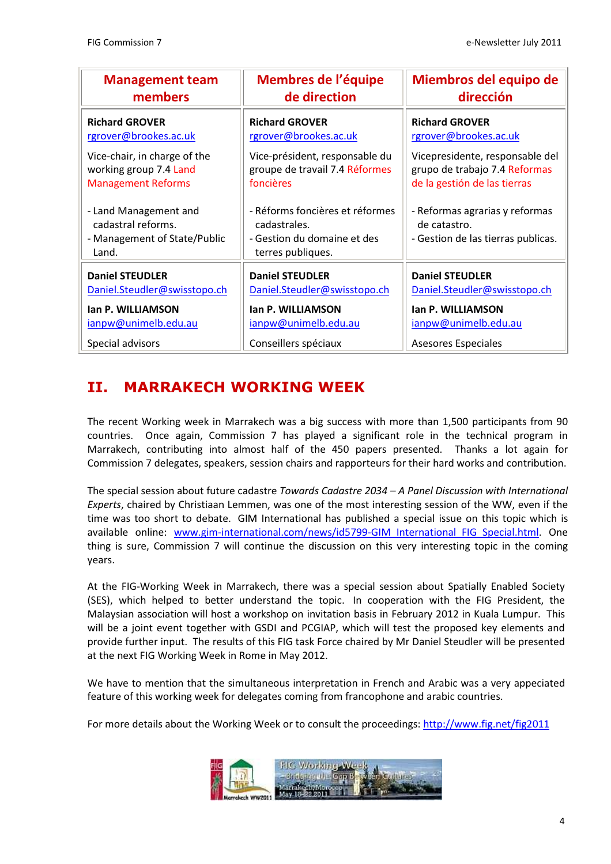| <b>Management team</b>                                                               | Membres de l'équipe                                                                                 | Miembros del equipo de                                                               |
|--------------------------------------------------------------------------------------|-----------------------------------------------------------------------------------------------------|--------------------------------------------------------------------------------------|
| members                                                                              | de direction                                                                                        | dirección                                                                            |
| <b>Richard GROVER</b>                                                                | <b>Richard GROVER</b>                                                                               | <b>Richard GROVER</b>                                                                |
| rgrover@brookes.ac.uk                                                                | rgrover@brookes.ac.uk                                                                               | rgrover@brookes.ac.uk                                                                |
| Vice-chair, in charge of the                                                         | Vice-président, responsable du                                                                      | Vicepresidente, responsable del                                                      |
| working group 7.4 Land                                                               | groupe de travail 7.4 Réformes                                                                      | grupo de trabajo 7.4 Reformas                                                        |
| <b>Management Reforms</b>                                                            | foncières                                                                                           | de la gestión de las tierras                                                         |
| - Land Management and<br>cadastral reforms.<br>- Management of State/Public<br>Land. | - Réforms foncières et réformes<br>cadastrales.<br>- Gestion du domaine et des<br>terres publiques. | - Reformas agrarias y reformas<br>de catastro.<br>- Gestion de las tierras publicas. |
| <b>Daniel STEUDLER</b>                                                               | <b>Daniel STEUDLER</b>                                                                              | <b>Daniel STEUDLER</b>                                                               |
| Daniel.Steudler@swisstopo.ch                                                         | Daniel.Steudler@swisstopo.ch                                                                        | Daniel.Steudler@swisstopo.ch                                                         |
| Ian P. WILLIAMSON                                                                    | Ian P. WILLIAMSON                                                                                   | Ian P. WILLIAMSON                                                                    |
| ianpw@unimelb.edu.au                                                                 | ianpw@unimelb.edu.au                                                                                | ianpw@unimelb.edu.au                                                                 |
| Special advisors                                                                     | Conseillers spéciaux                                                                                | Asesores Especiales                                                                  |

# II. MARRAKECH WORKING WEEK

The recent Working week in Marrakech was a big success with more than 1,500 participants from 90 countries. Once again, Commission 7 has played a significant role in the technical program in Marrakech, contributing into almost half of the 450 papers presented. Thanks a lot again for Commission 7 delegates, speakers, session chairs and rapporteurs for their hard works and contribution.

The special session about future cadastre Towards Cadastre 2034 – A Panel Discussion with International Experts, chaired by Christiaan Lemmen, was one of the most interesting session of the WW, even if the time was too short to debate. GIM International has published a special issue on this topic which is available online: www.gim-international.com/news/id5799-GIM International FIG Special.html. One thing is sure, Commission 7 will continue the discussion on this very interesting topic in the coming years.

At the FIG-Working Week in Marrakech, there was a special session about Spatially Enabled Society (SES), which helped to better understand the topic. In cooperation with the FIG President, the Malaysian association will host a workshop on invitation basis in February 2012 in Kuala Lumpur. This will be a joint event together with GSDI and PCGIAP, which will test the proposed key elements and provide further input. The results of this FIG task Force chaired by Mr Daniel Steudler will be presented at the next FIG Working Week in Rome in May 2012.

We have to mention that the simultaneous interpretation in French and Arabic was a very appeciated feature of this working week for delegates coming from francophone and arabic countries.

For more details about the Working Week or to consult the proceedings: http://www.fig.net/fig2011